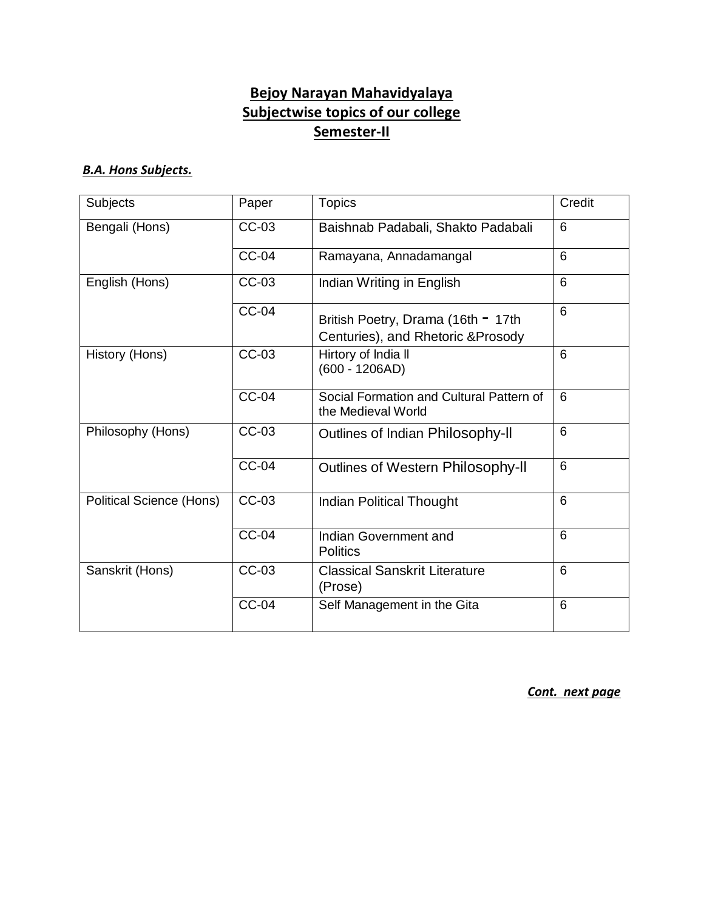## **Bejoy Narayan Mahavidyalaya Subjectwise topics of our college Semester-II**

## *B.A. Hons Subjects.*

| <b>Subjects</b>                 | Paper        | <b>Topics</b>                                                            | Credit |
|---------------------------------|--------------|--------------------------------------------------------------------------|--------|
| Bengali (Hons)                  | CC-03        | Baishnab Padabali, Shakto Padabali                                       | 6      |
|                                 | <b>CC-04</b> | Ramayana, Annadamangal                                                   | 6      |
| English (Hons)                  | CC-03        | Indian Writing in English                                                | 6      |
|                                 | <b>CC-04</b> | British Poetry, Drama (16th = 17th<br>Centuries), and Rhetoric & Prosody | 6      |
| History (Hons)                  | CC-03        | Hirtory of India II<br>$(600 - 1206AD)$                                  | 6      |
|                                 | $CC-04$      | Social Formation and Cultural Pattern of<br>the Medieval World           | 6      |
| Philosophy (Hons)               | CC-03        | Outlines of Indian Philosophy-II                                         | 6      |
|                                 | <b>CC-04</b> | Outlines of Western Philosophy-II                                        | 6      |
| <b>Political Science (Hons)</b> | CC-03        | <b>Indian Political Thought</b>                                          | 6      |
|                                 | <b>CC-04</b> | Indian Government and<br><b>Politics</b>                                 | 6      |
| Sanskrit (Hons)                 | CC-03        | <b>Classical Sanskrit Literature</b><br>(Prose)                          | 6      |
|                                 | <b>CC-04</b> | Self Management in the Gita                                              | 6      |

*Cont. next page*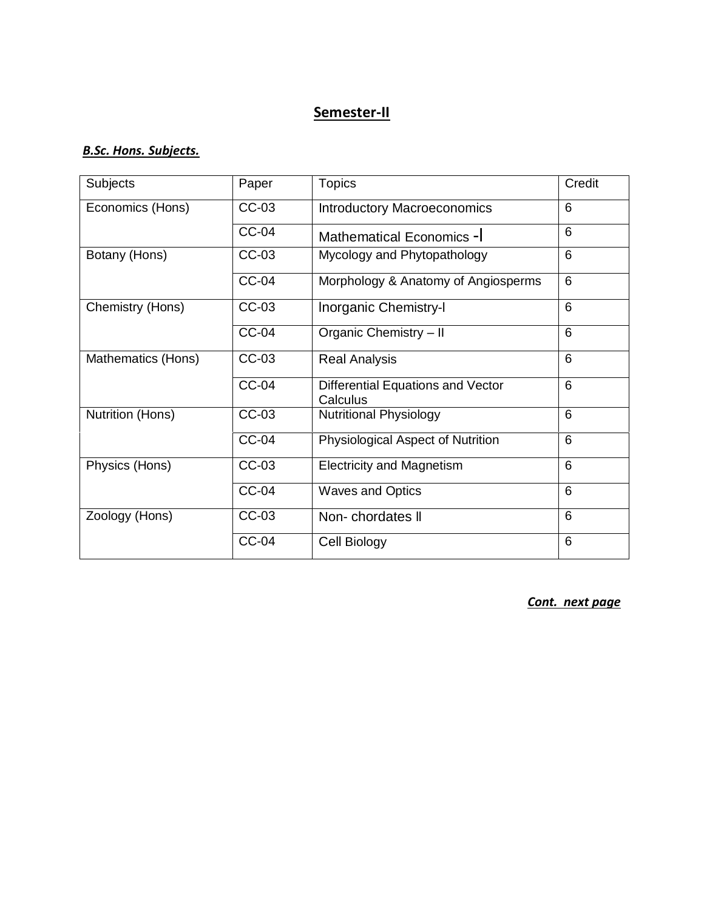## **Semester-II**

#### *B.Sc. Hons. Subjects.*

| <b>Subjects</b>         | Paper        | <b>Topics</b>                                 | Credit |
|-------------------------|--------------|-----------------------------------------------|--------|
| Economics (Hons)        | CC-03        | <b>Introductory Macroeconomics</b>            | 6      |
|                         | $CC-04$      | Mathematical Economics -                      | 6      |
| Botany (Hons)           | CC-03        | Mycology and Phytopathology                   | 6      |
|                         | <b>CC-04</b> | Morphology & Anatomy of Angiosperms           | 6      |
| Chemistry (Hons)        | CC-03        | Inorganic Chemistry-I                         | 6      |
|                         | <b>CC-04</b> | Organic Chemistry - II                        | 6      |
| Mathematics (Hons)      | CC-03        | <b>Real Analysis</b>                          | 6      |
|                         | <b>CC-04</b> | Differential Equations and Vector<br>Calculus | 6      |
| <b>Nutrition (Hons)</b> | CC-03        | <b>Nutritional Physiology</b>                 | 6      |
|                         | <b>CC-04</b> | Physiological Aspect of Nutrition             | 6      |
| Physics (Hons)          | CC-03        | <b>Electricity and Magnetism</b>              | 6      |
|                         | <b>CC-04</b> | <b>Waves and Optics</b>                       | 6      |
| Zoology (Hons)          | CC-03        | Non-chordates II                              | 6      |
|                         | <b>CC-04</b> | Cell Biology                                  | 6      |

*Cont. next page*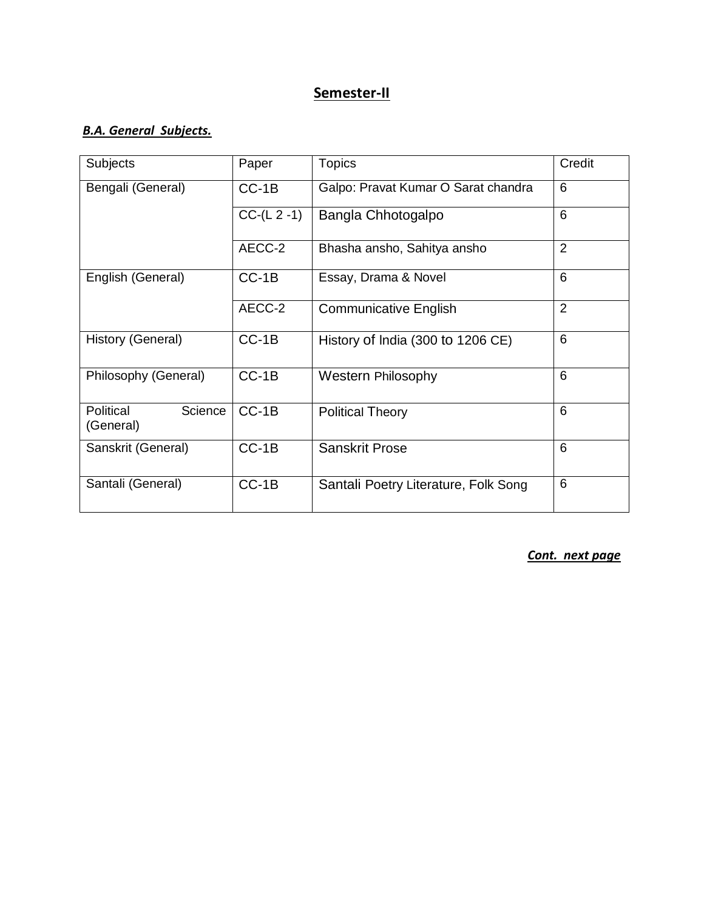## **Semester-II**

### *B.A. General Subjects.*

| <b>Subjects</b>                   | Paper         | <b>Topics</b>                        | Credit         |
|-----------------------------------|---------------|--------------------------------------|----------------|
| Bengali (General)                 | $CC-1B$       | Galpo: Pravat Kumar O Sarat chandra  | 6              |
|                                   | $CC-(L 2 -1)$ | Bangla Chhotogalpo                   | 6              |
|                                   | AECC-2        | Bhasha ansho, Sahitya ansho          | $\overline{2}$ |
| English (General)                 | $CC-1B$       | Essay, Drama & Novel                 | 6              |
|                                   | AECC-2        | <b>Communicative English</b>         | 2              |
| History (General)                 | $CC-1B$       | History of India (300 to 1206 CE)    | 6              |
| Philosophy (General)              | $CC-1B$       | <b>Western Philosophy</b>            | 6              |
| Political<br>Science<br>(General) | $CC-1B$       | <b>Political Theory</b>              | 6              |
| Sanskrit (General)                | $CC-1B$       | <b>Sanskrit Prose</b>                | 6              |
| Santali (General)                 | $CC-1B$       | Santali Poetry Literature, Folk Song | 6              |

*Cont. next page*